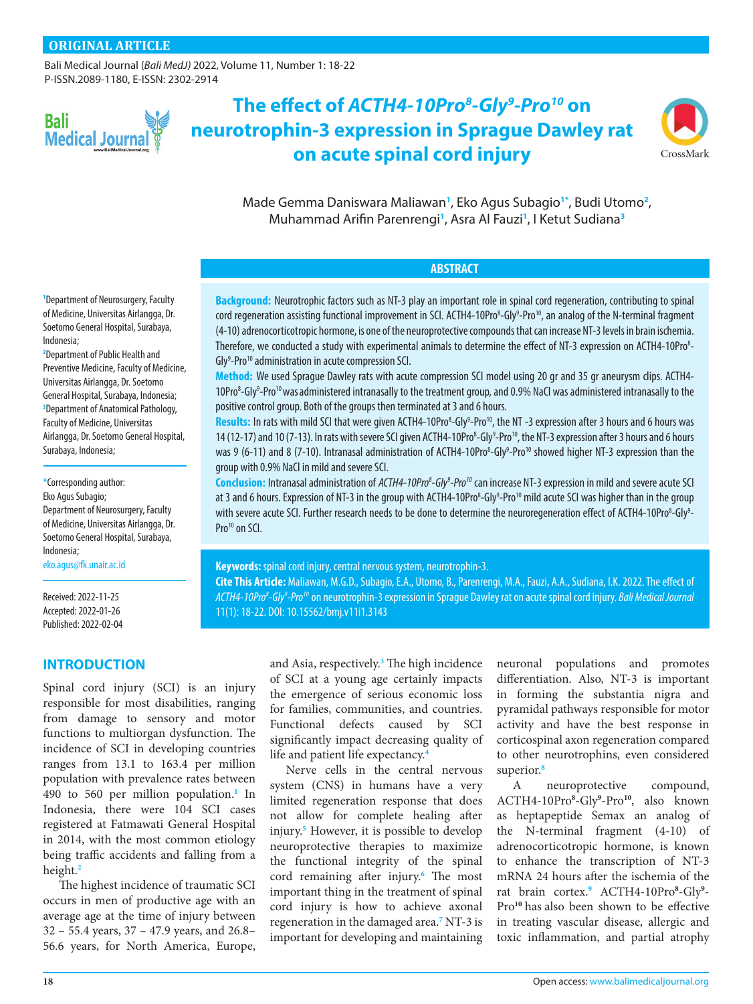[Bali Medical Journal](http://www.balimedicaljournal.org/) (*Bali MedJ)* 2022, Volume 11, Number 1: 18-22 P-ISSN.2089-1180, E-ISSN: 2302-2914



# **The effect of** *ACTH4-10Pro8 -Gly9 -Pro10* **on neurotrophin-3 expression in Sprague Dawley rat on acute spinal cord injury**



Made Gemma Daniswara Maliawan**[1](#page-0-0)** , Eko Agus Subagio**[1](#page-0-0)[\\*](#page-0-1)** , Budi Utomo**[2](#page-0-2)** , Muhammad Arifin Parenrengi**[1](#page-0-0)** , Asra Al Fauzi**[1](#page-0-0)** , I Ketut Sudiana**[3](#page-0-3)**

#### **ABSTRACT**

**Background:** Neurotrophic factors such as NT-3 play an important role in spinal cord regeneration, contributing to spinal cord regeneration assisting functional improvement in SCI. ACTH4-10Pro<sup>8</sup>-Gly<sup>9</sup>-Pro<sup>10</sup>, an analog of the N-terminal fragment (4-10) adrenocorticotropic hormone, is one of the neuroprotective compounds that can increase NT-3 levels in brain ischemia. Therefore, we conducted a study with experimental animals to determine the effect of NT-3 expression on ACTH4-10Pro<sup>8</sup>-Gly<sup>9</sup>-Pro<sup>10</sup> administration in acute compression SCI.

**Method:** We used Sprague Dawley rats with acute compression SCI model using 20 gr and 35 gr aneurysm clips. ACTH4- 10Pro<sup>8</sup>-Gly<sup>9</sup>-Pro<sup>10</sup> was administered intranasally to the treatment group, and 0.9% NaCl was administered intranasally to the positive control group. Both of the groups then terminated at 3 and 6 hours.

Results: In rats with mild SCI that were given ACTH4-10Pro<sup>8</sup>-Gly<sup>9</sup>-Pro<sup>10</sup>, the NT -3 expression after 3 hours and 6 hours was 14 (12-17) and 10 (7-13). In rats with severe SCI given ACTH4-10Pro<sup>8</sup>-Gly<sup>9</sup>-Pro<sup>10</sup>, the NT-3 expression after 3 hours and 6 hours was 9 (6-11) and 8 (7-10). Intranasal administration of ACTH4-10Pro<sup>8</sup>-Gly<sup>9</sup>-Pro<sup>10</sup> showed higher NT-3 expression than the group with 0.9% NaCl in mild and severe SCI.

Conclusion: Intranasal administration of *ACTH4-10Pro<sup>8</sup>-Gly<sup>9</sup>-Pro<sup>10</sup>* can increase NT-3 expression in mild and severe acute SCI at 3 and 6 hours. Expression of NT-3 in the group with ACTH4-10Pro<sup>8</sup>-Gly<sup>9</sup>-Pro<sup>10</sup> mild acute SCI was higher than in the group with severe acute SCI. Further research needs to be done to determine the neuroregeneration effect of ACTH4-10Pro<sup>8</sup>-Gly<sup>9</sup>-Pro<sup>10</sup> on SCI.

**Keywords:** spinal cord injury, central nervous system, neurotrophin-3.

**Cite This Article:** Maliawan, M.G.D., Subagio, E.A., Utomo, B., Parenrengi, M.A., Fauzi, A.A., Sudiana, I.K. 2022. The effect of *ACTH4-10Pro8 -Gly9 -Pro10* on neurotrophin-3 expression in Sprague Dawley rat on acute spinal cord injury. *Bali Medical Journal* 11(1): 18-22. DOI: [10.15562/bmj.v11i1.3143](http://dx.doi.org/10.15562/bmj.v11i1.3143)

<span id="page-0-0"></span>**1** Department of Neurosurgery, Faculty of Medicine, Universitas Airlangga, Dr. Soetomo General Hospital, Surabaya, Indonesia;

<span id="page-0-3"></span><span id="page-0-2"></span>**2** Department of Public Health and Preventive Medicine, Faculty of Medicine, Universitas Airlangga, Dr. Soetomo General Hospital, Surabaya, Indonesia; **3** Department of Anatomical Pathology, Faculty of Medicine, Universitas Airlangga, Dr. Soetomo General Hospital, Surabaya, Indonesia;

<span id="page-0-1"></span>\*Corresponding author: Eko Agus Subagio; Department of Neurosurgery, Faculty of Medicine, Universitas Airlangga, Dr. Soetomo General Hospital, Surabaya, Indonesia;

[eko.agus@fk.unair.ac.id](mailto:eko.agus%40fk.unair.ac.id?subject=)

Received: 2022-11-25 Accepted: 2022-01-26 Published: 2022-02-04

## **INTRODUCTION**

Spinal cord injury (SCI) is an injury responsible for most disabilities, ranging from damage to sensory and motor functions to multiorgan dysfunction. The incidence of SCI in developing countries ranges from 13.1 to 163.4 per million population with prevalence rates between 490 to 560 per million population.**[1](#page-3-0)** In Indonesia, there were 104 SCI cases registered at Fatmawati General Hospital in 2014, with the most common etiology being traffic accidents and falling from a height.**[2](#page-3-1)**

The highest incidence of traumatic SCI occurs in men of productive age with an average age at the time of injury between 32 – 55.4 years, 37 – 47.9 years, and 26.8– 56.6 years, for North America, Europe,

and Asia, respectively.**[3](#page-4-0)** The high incidence of SCI at a young age certainly impacts the emergence of serious economic loss for families, communities, and countries. Functional defects caused by SCI significantly impact decreasing quality of life and patient life expectancy.**[4](#page-4-1)**

Nerve cells in the central nervous system (CNS) in humans have a very limited regeneration response that does not allow for complete healing after injury.**[5](#page-4-2)** However, it is possible to develop neuroprotective therapies to maximize the functional integrity of the spinal cord remaining after injury.**[6](#page-4-3)** The most important thing in the treatment of spinal cord injury is how to achieve axonal regeneration in the damaged area.**[7](#page-4-4)** NT-3 is important for developing and maintaining

neuronal populations and promotes differentiation. Also, NT-3 is important in forming the substantia nigra and pyramidal pathways responsible for motor activity and have the best response in corticospinal axon regeneration compared to other neurotrophins, even considered superior.**[8](#page-4-4)**

A neuroprotective compound, ACTH4-10Pro**[8](#page-4-4)** -Gly**[9](#page-4-5)** -Pro**[10](#page-4-6)**, also known as heptapeptide Semax an analog of the N-terminal fragment (4-10) of adrenocorticotropic hormone, is known to enhance the transcription of NT-3 mRNA 24 hours after the ischemia of the rat brain cortex.<sup>[9](#page-4-5)</sup> ACTH4-10Pro<sup>[8](#page-4-4)</sup>-Gly<sup>9</sup>-Pro**[10](#page-4-6)** has also been shown to be effective in treating vascular disease, allergic and toxic inflammation, and partial atrophy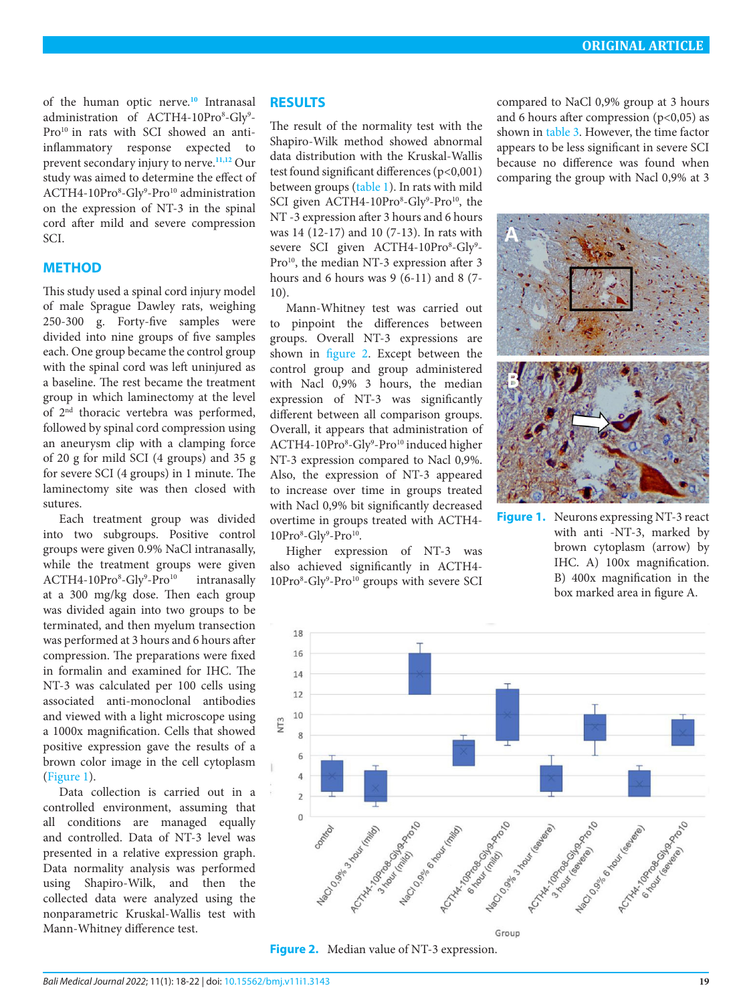of the human optic nerve.**[10](#page-4-6)** Intranasal administration of ACTH4-10Pro<sup>8</sup>-Gly<sup>9</sup>-Pro<sup>10</sup> in rats with SCI showed an antiinflammatory response expected to prevent secondary injury to nerve.**[11](#page-4-7),[12](#page-4-4)** Our study was aimed to determine the effect of ACTH4-10Pro<sup>8</sup>-Gly<sup>9</sup>-Pro<sup>10</sup> administration on the expression of NT-3 in the spinal cord after mild and severe compression SCI.

#### **METHOD**

This study used a spinal cord injury model of male Sprague Dawley rats, weighing 250-300 g. Forty-five samples were divided into nine groups of five samples each. One group became the control group with the spinal cord was left uninjured as a baseline. The rest became the treatment group in which laminectomy at the level of 2nd thoracic vertebra was performed, followed by spinal cord compression using an aneurysm clip with a clamping force of 20 g for mild SCI (4 groups) and 35 g for severe SCI (4 groups) in 1 minute. The laminectomy site was then closed with sutures.

Each treatment group was divided into two subgroups. Positive control groups were given 0.9% NaCl intranasally, while the treatment groups were given ACTH4-10Pro<sup>8</sup>-Gly<sup>9</sup>-Pro<sup>10</sup> intranasally at a 300 mg/kg dose. Then each group was divided again into two groups to be terminated, and then myelum transection was performed at 3 hours and 6 hours after compression. The preparations were fixed in formalin and examined for IHC. The NT-3 was calculated per 100 cells using associated anti-monoclonal antibodies and viewed with a light microscope using a 1000x magnification. Cells that showed positive expression gave the results of a brown color image in the cell cytoplasm [\(Figure 1](#page-1-0)).

Data collection is carried out in a controlled environment, assuming that all conditions are managed equally and controlled. Data of NT-3 level was presented in a relative expression graph. Data normality analysis was performed using Shapiro-Wilk, and then the collected data were analyzed using the nonparametric Kruskal-Wallis test with Mann-Whitney difference test.

#### **RESULTS**

The result of the normality test with the Shapiro-Wilk method showed abnormal data distribution with the Kruskal-Wallis test found significant differences (p<0,001) between groups ([table 1\)](#page-2-0). In rats with mild SCI given ACTH4-10Pro<sup>8</sup>-Gly<sup>9</sup>-Pro<sup>10</sup>, the NT -3 expression after 3 hours and 6 hours was 14 (12-17) and 10 (7-13). In rats with severe SCI given ACTH4-10Pro<sup>8</sup>-Gly<sup>9</sup>-Pro<sup>10</sup>, the median NT-3 expression after 3 hours and 6 hours was 9 (6-11) and 8 (7- 10).

Mann-Whitney test was carried out to pinpoint the differences between groups. Overall NT-3 expressions are shown in [figure 2](#page-1-1). Except between the control group and group administered with Nacl 0,9% 3 hours, the median expression of NT-3 was significantly different between all comparison groups. Overall, it appears that administration of ACTH4-10Pro<sup>8</sup>-Gly<sup>9</sup>-Pro<sup>10</sup> induced higher NT-3 expression compared to Nacl 0,9%. Also, the expression of NT-3 appeared to increase over time in groups treated with Nacl 0,9% bit significantly decreased overtime in groups treated with ACTH4- 10Pro<sup>8</sup>-Gly<sup>9</sup>-Pro<sup>10</sup>.

Higher expression of NT-3 was also achieved significantly in ACTH4- 10Pro<sup>8</sup>-Gly<sup>9</sup>-Pro<sup>10</sup> groups with severe SCI compared to NaCl 0,9% group at 3 hours and 6 hours after compression  $(p<0,05)$  as shown in [table 3](#page-2-1). However, the time factor appears to be less significant in severe SCI because no difference was found when comparing the group with Nacl 0,9% at 3



<span id="page-1-0"></span>**Figure 1.** Neurons expressing NT-3 react with anti -NT-3, marked by brown cytoplasm (arrow) by IHC. A) 100x magnification. B) 400x magnification in the box marked area in figure A.



<span id="page-1-1"></span>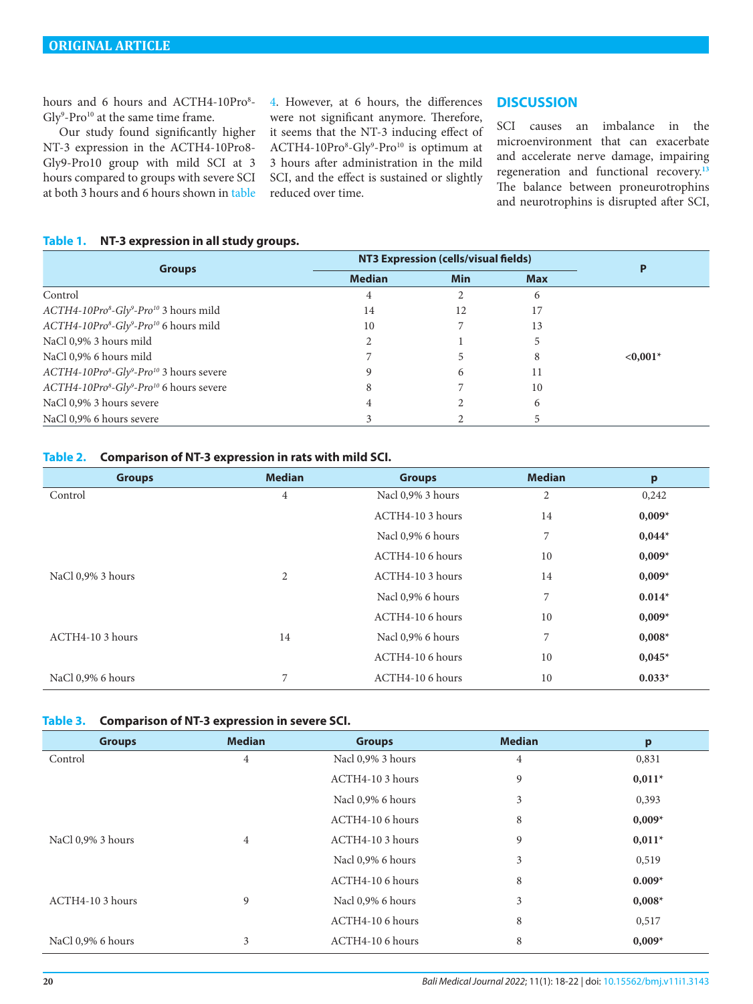hours and 6 hours and ACTH4-10Pro<sup>8</sup>-Gly<sup>9</sup>-Pro<sup>10</sup> at the same time frame.

Our study found significantly higher NT-3 expression in the ACTH4-10Pro8- Gly9-Pro10 group with mild SCI at 3 hours compared to groups with severe SCI at both 3 hours and 6 hours shown in [table](#page-3-2)

[4](#page-3-2). However, at 6 hours, the differences were not significant anymore. Therefore, it seems that the NT-3 inducing effect of ACTH4-10Pro<sup>8</sup>-Gly<sup>9</sup>-Pro<sup>10</sup> is optimum at 3 hours after administration in the mild SCI, and the effect is sustained or slightly reduced over time.

## **DISCUSSION**

SCI causes an imbalance in the microenvironment that can exacerbate and accelerate nerve damage, impairing regeneration and functional recovery.**[13](#page-4-8)** The balance between proneurotrophins and neurotrophins is disrupted after SCI,

#### <span id="page-2-0"></span>**Table 1. NT-3 expression in all study groups.**

| <b>Groups</b>                                                                | NT3 Expression (cells/visual fields) |            |            |            |
|------------------------------------------------------------------------------|--------------------------------------|------------|------------|------------|
|                                                                              | <b>Median</b>                        | <b>Min</b> | <b>Max</b> |            |
| Control                                                                      | 4                                    |            | 6          |            |
| ACTH4-10Pro <sup>8</sup> -Gly <sup>9</sup> -Pro <sup>10</sup> 3 hours mild   | 14                                   | 12         | 17         |            |
| ACTH4-10Pro <sup>8</sup> -Gly <sup>9</sup> -Pro <sup>10</sup> 6 hours mild   | 10                                   |            | 13         |            |
| NaCl 0,9% 3 hours mild                                                       |                                      |            |            |            |
| NaCl 0,9% 6 hours mild                                                       |                                      |            | 8          | $< 0.001*$ |
| ACTH4-10Pro <sup>8</sup> -Gly <sup>9</sup> -Pro <sup>10</sup> 3 hours severe |                                      |            | 11         |            |
| ACTH4-10Pro <sup>8</sup> -Gly <sup>9</sup> -Pro <sup>10</sup> 6 hours severe | 8                                    |            | 10         |            |
| NaCl 0,9% 3 hours severe                                                     |                                      |            | 6          |            |
| NaCl 0,9% 6 hours severe                                                     |                                      |            |            |            |

#### <span id="page-2-2"></span>**Table 2. Comparison of NT-3 expression in rats with mild SCI.**

| <b>Groups</b>     | <b>Median</b>  | <b>Groups</b>     | <b>Median</b>  | p        |
|-------------------|----------------|-------------------|----------------|----------|
| Control           | $\overline{4}$ | Nacl 0,9% 3 hours | $\overline{2}$ | 0,242    |
|                   |                | $ACTH4-103 hours$ | 14             | $0,009*$ |
|                   |                | Nacl 0,9% 6 hours | 7              | $0,044*$ |
|                   |                | ACTH4-10 6 hours  | 10             | $0,009*$ |
| NaCl 0,9% 3 hours | 2              | $ACTH4-103 hours$ | 14             | $0,009*$ |
|                   |                | Nacl 0,9% 6 hours | 7              | $0.014*$ |
|                   |                | ACTH4-10 6 hours  | 10             | $0,009*$ |
| ACTH4-10 3 hours  | 14             | Nacl 0,9% 6 hours | 7              | $0,008*$ |
|                   |                | ACTH4-10 6 hours  | 10             | $0,045*$ |
| NaCl 0,9% 6 hours | 7              | ACTH4-10 6 hours  | 10             | $0.033*$ |

#### <span id="page-2-1"></span>**Table 3. Comparison of NT-3 expression in severe SCI.**

| <b>Groups</b>     | <b>Median</b>  | <b>Groups</b>     | <b>Median</b> | p        |
|-------------------|----------------|-------------------|---------------|----------|
| Control           | 4              | Nacl 0,9% 3 hours | 4             | 0,831    |
|                   |                | ACTH4-10 3 hours  | 9             | $0,011*$ |
|                   |                | Nacl 0,9% 6 hours | 3             | 0,393    |
|                   |                | ACTH4-10 6 hours  | 8             | $0,009*$ |
| NaCl 0,9% 3 hours | $\overline{4}$ | ACTH4-10 3 hours  | 9             | $0,011*$ |
|                   |                | Nacl 0,9% 6 hours | 3             | 0,519    |
|                   |                | ACTH4-10 6 hours  | 8             | $0.009*$ |
| ACTH4-10 3 hours  | 9              | Nacl 0,9% 6 hours | 3             | $0,008*$ |
|                   |                | ACTH4-10 6 hours  | 8             | 0,517    |
| NaCl 0,9% 6 hours | 3              | ACTH4-10 6 hours  | 8             | $0,009*$ |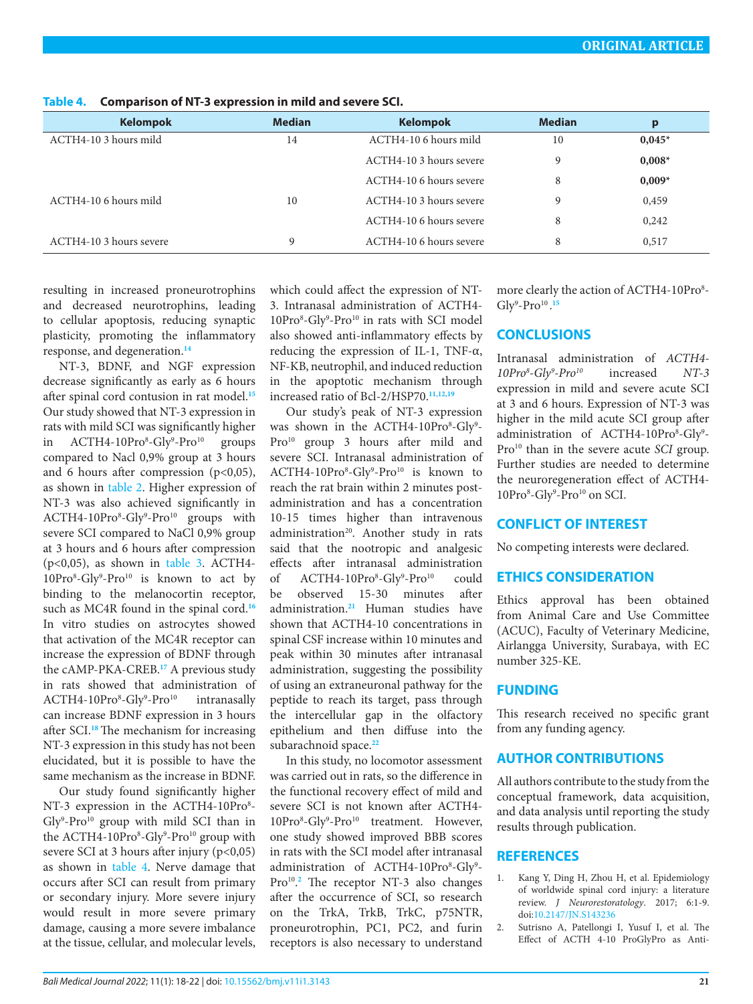| <b>Kelompok</b>         | <b>Median</b> | <b>Kelompok</b>         | <b>Median</b> | p        |
|-------------------------|---------------|-------------------------|---------------|----------|
| ACTH4-10 3 hours mild   | 14            | ACTH4-10 6 hours mild   | 10            | $0,045*$ |
|                         |               | ACTH4-10 3 hours severe | 9             | $0,008*$ |
|                         |               | ACTH4-10 6 hours severe | 8             | $0,009*$ |
| ACTH4-10 6 hours mild   | 10            | ACTH4-10 3 hours severe | 9             | 0,459    |
|                         |               | ACTH4-10 6 hours severe | 8             | 0,242    |
| ACTH4-10 3 hours severe | 9             | ACTH4-10 6 hours severe | 8             | 0,517    |

<span id="page-3-2"></span>**Table 4. Comparison of NT-3 expression in mild and severe SCI.**

resulting in increased proneurotrophins and decreased neurotrophins, leading to cellular apoptosis, reducing synaptic plasticity, promoting the inflammatory response, and degeneration.**[14](#page-4-9)**

NT-3, BDNF, and NGF expression decrease significantly as early as 6 hours after spinal cord contusion in rat model.**[15](#page-4-10)** Our study showed that NT-3 expression in rats with mild SCI was significantly higher in ACTH4-10Pro<sup>8</sup>-Gly<sup>9</sup> groups compared to Nacl 0,9% group at 3 hours and 6 hours after compression  $(p<0,05)$ , as shown in [table 2](#page-2-2). Higher expression of NT-3 was also achieved significantly in ACTH4-10Pro<sup>8</sup>-Gly<sup>9</sup>-Pro<sup>10</sup> groups with severe SCI compared to NaCl 0,9% group at 3 hours and 6 hours after compression  $(p<0.05)$ , as shown in [table 3.](#page-2-1) ACTH4-10Pro<sup>8</sup>-Gly<sup>9</sup>-Pro<sup>10</sup> is known to act by binding to the melanocortin receptor, such as MC4R found in the spinal cord.**[16](#page-4-11)** In vitro studies on astrocytes showed that activation of the MC4R receptor can increase the expression of BDNF through the cAMP-PKA-CREB.**[17](#page-4-12)** A previous study in rats showed that administration of ACTH4-10Pro<sup>8</sup>-Gly<sup>9</sup> intranasally can increase BDNF expression in 3 hours after SCI.**[18](#page-4-13)**The mechanism for increasing NT-3 expression in this study has not been elucidated, but it is possible to have the same mechanism as the increase in BDNF.

Our study found significantly higher NT-3 expression in the ACTH4-10Pro<sup>8</sup>- $Gly<sup>9</sup>-Pro<sup>10</sup>$  group with mild SCI than in the ACTH4-10Pro<sup>8</sup>-Gly<sup>9</sup>-Pro<sup>10</sup> group with severe SCI at 3 hours after injury (p<0,05) as shown in [table 4.](#page-3-2) Nerve damage that occurs after SCI can result from primary or secondary injury. More severe injury would result in more severe primary damage, causing a more severe imbalance at the tissue, cellular, and molecular levels,

which could affect the expression of NT-3. Intranasal administration of ACTH4- 10Pro<sup>8</sup>-Gly<sup>9</sup>-Pro<sup>10</sup> in rats with SCI model also showed anti-inflammatory effects by reducing the expression of IL-1, TNF- $\alpha$ , NF-KB, neutrophil, and induced reduction in the apoptotic mechanism through increased ratio of Bcl-2/HSP70.**[11](#page-4-7),[12](#page-4-4),[19](#page-4-14)**

Our study's peak of NT-3 expression was shown in the ACTH4-10Pro<sup>8</sup>-Gly<sup>9</sup>-Pro<sup>10</sup> group 3 hours after mild and severe SCI. Intranasal administration of ACTH4-10Pro<sup>8</sup>-Gly<sup>9</sup>-Pro<sup>10</sup> is known to reach the rat brain within 2 minutes postadministration and has a concentration 10-15 times higher than intravenous administration<sup>20</sup>. Another study in rats said that the nootropic and analgesic effects after intranasal administration of ACTH4-10Pro<sup>8</sup>-Gly<sup>9</sup> could be observed 15-30 minutes after administration.**[21](#page-4-15)** Human studies have shown that ACTH4-10 concentrations in spinal CSF increase within 10 minutes and peak within 30 minutes after intranasal administration, suggesting the possibility of using an extraneuronal pathway for the peptide to reach its target, pass through the intercellular gap in the olfactory epithelium and then diffuse into the subarachnoid space.**[22](#page-4-16)**

In this study, no locomotor assessment was carried out in rats, so the difference in the functional recovery effect of mild and severe SCI is not known after ACTH4- 10Pro<sup>8</sup>-Gly<sup>9</sup>-Pro<sup>10</sup> treatment. However, one study showed improved BBB scores in rats with the SCI model after intranasal administration of ACTH4-10Pro<sup>8</sup>-Gly<sup>9</sup>-Pro<sup>10</sup>.<sup>[2](#page-3-1)</sup> The receptor NT-3 also changes after the occurrence of SCI, so research on the TrkA, TrkB, TrkC, p75NTR, proneurotrophin, PC1, PC2, and furin receptors is also necessary to understand

more clearly the action of ACTH4-10Pro<sup>8</sup>-Gly<sup>9</sup>-Pro<sup>10</sup>.<sup>[15](#page-4-10)</sup>

#### **CONCLUSIONS**

Intranasal administration of *ACTH4- 10Pro8 -Gly9 -Pro10* increased *NT-3* expression in mild and severe acute SCI at 3 and 6 hours. Expression of NT-3 was higher in the mild acute SCI group after administration of ACTH4-10Pro<sup>8</sup>-Gly<sup>9</sup>-Pro<sup>10</sup> than in the severe acute *SCI* group. Further studies are needed to determine the neuroregeneration effect of ACTH4- 10Pro<sup>8</sup>-Gly<sup>9</sup>-Pro<sup>10</sup> on SCI.

#### **CONFLICT OF INTEREST**

No competing interests were declared.

### **ETHICS CONSIDERATION**

Ethics approval has been obtained from Animal Care and Use Committee (ACUC), Faculty of Veterinary Medicine, Airlangga University, Surabaya, with EC number 325-KE.

## **FUNDING**

This research received no specific grant from any funding agency.

#### **AUTHOR CONTRIBUTIONS**

All authors contribute to the study from the conceptual framework, data acquisition, and data analysis until reporting the study results through publication.

### **REFERENCES**

- <span id="page-3-0"></span>1. Kang Y, Ding H, Zhou H, et al. Epidemiology of worldwide spinal cord injury: a literature review. *J Neurorestoratology*. 2017; 6:1-9. doi[:10.2147/JN.S143236](http://dx.doi.org/10.2147/JN.S143236)
- <span id="page-3-1"></span>2. Sutrisno A, Patellongi I, Yusuf I, et al. The Effect of ACTH 4-10 ProGlyPro as Anti-